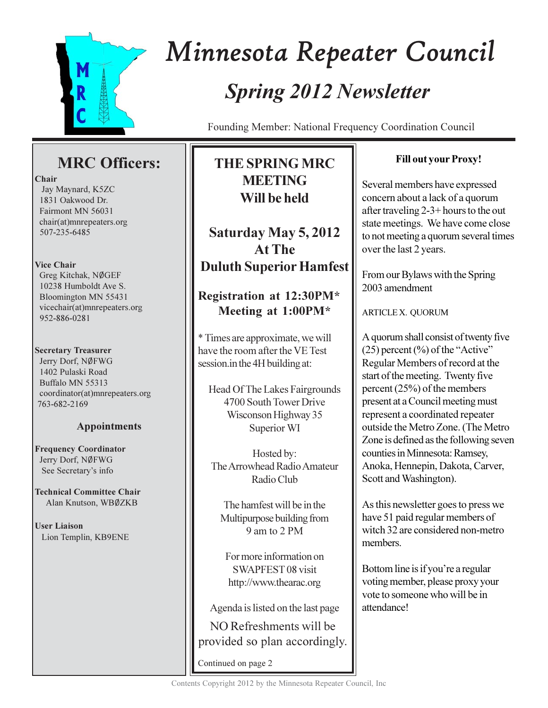

# Minnesota Repeater Council **Spring 2012 Newsletter**

Founding Member: National Frequency Coordination Council

# **MRC** Officers:

## Chair

Jay Maynard, K5ZC 1831 Oakwood Dr. Fairmont MN 56031 chair(at)mnrepeaters.org 507-235-6485

## **Vice Chair**

Greg Kitchak, NØGEF 10238 Humboldt Ave S. Bloomington MN 55431 vicechair(at)mnrepeaters.org 952-886-0281

## **Secretary Treasurer**

Jerry Dorf, NØFWG 1402 Pulaski Road Buffalo MN 55313 coordinator(at)mnrepeaters.org 763-682-2169

# **Appointments**

**Frequency Coordinator** Jerry Dorf, NØFWG See Secretary's info

**Technical Committee Chair** Alan Knutson, WBØZKB

**User Liaison** Lion Templin, KB9ENE

# **THE SPRING MRC MEETING** Will be held

Saturday May 5, 2012 **At The Duluth Superior Hamfest** 

# Registration at 12:30PM\* Meeting at 1:00PM\*

\* Times are approximate, we will have the room after the VE Test session.in the 4H building at:

Head Of The Lakes Fairgrounds 4700 South Tower Drive Wisconson Highway 35 Superior WI

Hosted by: The Arrowhead Radio Amateur Radio Club

The hamfest will be in the Multipurpose building from 9 am to 2 PM

For more information on SWAPFEST 08 visit http://www.thearac.org

Agenda is listed on the last page

NO Refreshments will be provided so plan accordingly.

Continued on page 2

# **Fill out your Proxy!**

Several members have expressed concern about a lack of a quorum after traveling  $2-3+$  hours to the out state meetings. We have come close to not meeting a quorum several times over the last 2 years.

From our Bylaws with the Spring 2003 amendment

**ARTICLE X. QUORUM** 

A quorum shall consist of twenty five  $(25)$  percent  $(\% )$  of the "Active" Regular Members of record at the start of the meeting. Twenty five percent  $(25%)$  of the members present at a Council meeting must represent a coordinated repeater outside the Metro Zone. (The Metro Zone is defined as the following seven counties in Minnesota: Ramsey, Anoka, Hennepin, Dakota, Carver, Scott and Washington).

As this newsletter goes to press we have 51 paid regular members of witch 32 are considered non-metro members.

Bottom line is if you're a regular voting member, please proxy your vote to someone who will be in attendance!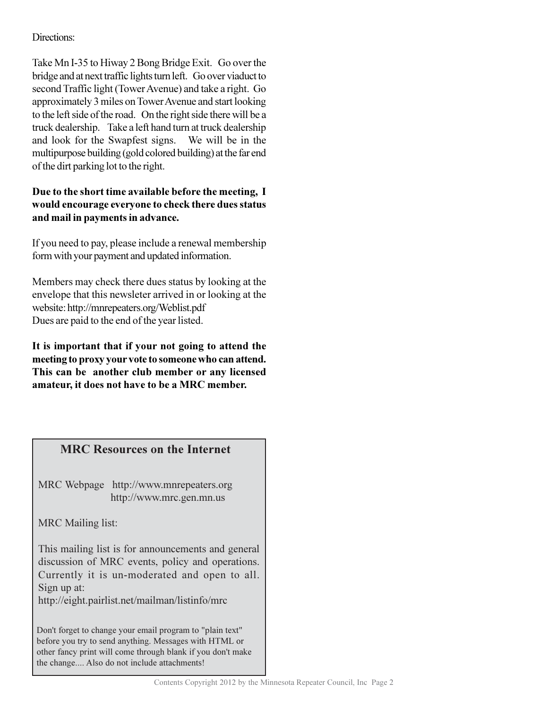## Directions:

Take Mn I-35 to Hiway 2 Bong Bridge Exit. Go over the bridge and at next traffic lights turn left. Go over viaduct to second Traffic light (Tower Avenue) and take a right. Go approximately 3 miles on Tower Avenue and start looking to the left side of the road. On the right side there will be a truck dealership. Take a left hand turn at truck dealership and look for the Swapfest signs. We will be in the multipurpose building (gold colored building) at the far end of the dirt parking lot to the right.

## Due to the short time available before the meeting, I would encourage everyone to check there dues status and mail in payments in advance.

If you need to pay, please include a renewal membership form with your payment and updated information.

Members may check there dues status by looking at the envelope that this newsleter arrived in or looking at the website: http://mnrepeaters.org/Weblist.pdf Dues are paid to the end of the year listed.

It is important that if your not going to attend the meeting to proxy your vote to someone who can attend. This can be another club member or any licensed amateur, it does not have to be a MRC member.

# **MRC Resources on the Internet**

MRC Webpage http://www.mnrepeaters.org http://www.mrc.gen.mn.us

MRC Mailing list:

This mailing list is for announcements and general discussion of MRC events, policy and operations. Currently it is un-moderated and open to all. Sign up at:

http://eight.pairlist.net/mailman/listinfo/mrc

Don't forget to change your email program to "plain text" before you try to send anything. Messages with HTML or other fancy print will come through blank if you don't make the change.... Also do not include attachments!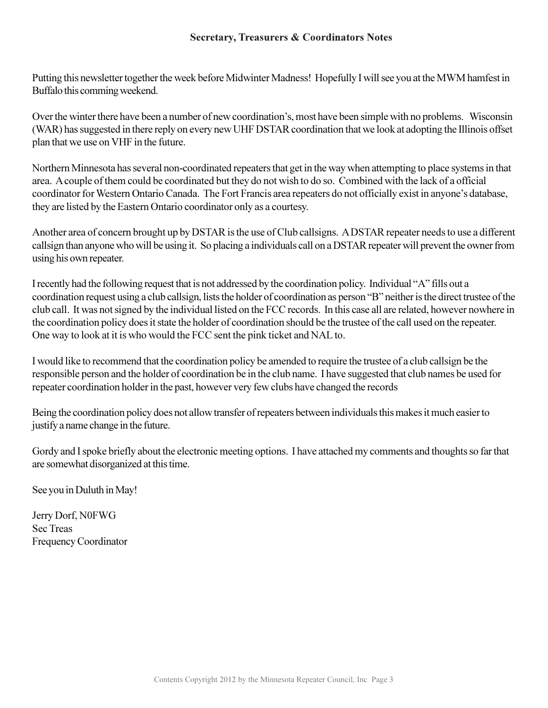Putting this newsletter together the week before Midwinter Madness! Hopefully I will see you at the MWM hamfest in Buffalo this comming weekend.

Over the winter there have been a number of new coordination's, most have been simple with no problems. Wisconsin (WAR) has suggested in there reply on every new UHF DSTAR coordination that we look at adopting the Illinois offset plan that we use on VHF in the future.

Northern Minnesota has several non-coordinated repeaters that get in the way when attempting to place systems in that area. A couple of them could be coordinated but they do not wish to do so. Combined with the lack of a official coordinator for Western Ontario Canada. The Fort Francis area repeaters do not officially exist in anyone's database, they are listed by the Eastern Ontario coordinator only as a courtesy.

Another area of concern brought up by DSTAR is the use of Club callsigns. A DSTAR repeater needs to use a different callsign than anyone who will be using it. So placing a individuals call on a DSTAR repeater will prevent the owner from using his own repeater.

I recently had the following request that is not addressed by the coordination policy. Individual "A" fills out a coordination request using a club callsign, lists the holder of coordination as person "B" neither is the direct trustee of the club call. It was not signed by the individual listed on the FCC records. In this case all are related, however nowhere in the coordination policy does it state the holder of coordination should be the trustee of the call used on the repeater. One way to look at it is who would the FCC sent the pink ticket and NAL to.

I would like to recommend that the coordination policy be amended to require the trustee of a club callsign be the responsible person and the holder of coordination be in the club name. I have suggested that club names be used for repeater coordination holder in the past, however very few clubs have changed the records

Being the coordination policy does not allow transfer of repeaters between individuals this makes it much easier to justify a name change in the future.

Gordy and I spoke briefly about the electronic meeting options. I have attached my comments and thoughts so far that are somewhat disorganized at this time.

See you in Duluth in May!

Jerry Dorf, N0FWG **Sec Treas Frequency Coordinator**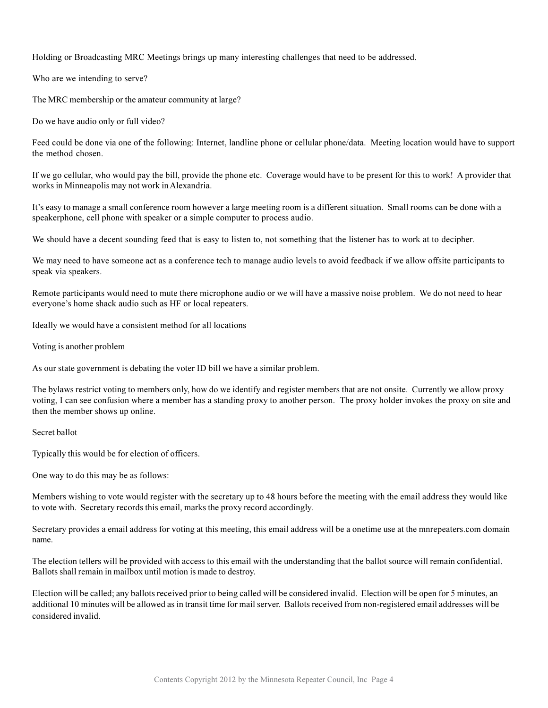Holding or Broadcasting MRC Meetings brings up many interesting challenges that need to be addressed.

Who are we intending to serve?

The MRC membership or the amateur community at large?

Do we have audio only or full video?

Feed could be done via one of the following: Internet, landline phone or cellular phone/data. Meeting location would have to support the method chosen.

If we go cellular, who would pay the bill, provide the phone etc. Coverage would have to be present for this to work! A provider that works in Minneapolis may not work in Alexandria.

It's easy to manage a small conference room however a large meeting room is a different situation. Small rooms can be done with a speakerphone, cell phone with speaker or a simple computer to process audio.

We should have a decent sounding feed that is easy to listen to, not something that the listener has to work at to decipher.

We may need to have someone act as a conference tech to manage audio levels to avoid feedback if we allow offsite participants to speak via speakers.

Remote participants would need to mute there microphone audio or we will have a massive noise problem. We do not need to hear everyone's home shack audio such as HF or local repeaters.

Ideally we would have a consistent method for all locations

Voting is another problem

As our state government is debating the voter ID bill we have a similar problem.

The bylaws restrict voting to members only, how do we identify and register members that are not onsite. Currently we allow proxy voting, I can see confusion where a member has a standing proxy to another person. The proxy holder invokes the proxy on site and then the member shows up online.

Secret hallot

Typically this would be for election of officers.

One way to do this may be as follows:

Members wishing to vote would register with the secretary up to 48 hours before the meeting with the email address they would like to vote with. Secretary records this email, marks the proxy record accordingly.

Secretary provides a email address for voting at this meeting, this email address will be a onetime use at the mnrepeaters.com domain name.

The election tellers will be provided with access to this email with the understanding that the ballot source will remain confidential. Ballots shall remain in mailbox until motion is made to destroy.

Election will be called; any ballots received prior to being called will be considered invalid. Election will be open for 5 minutes, an additional 10 minutes will be allowed as in transit time for mail server. Ballots received from non-registered email addresses will be considered invalid.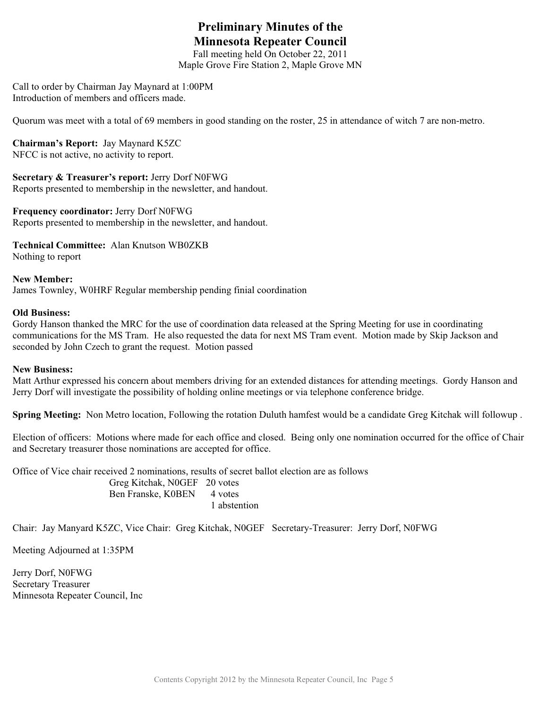# **Preliminary Minutes of the Minnesota Repeater Council**

Fall meeting held On October 22, 2011

Maple Grove Fire Station 2, Maple Grove MN

Call to order by Chairman Jay Maynard at 1:00PM Introduction of members and officers made.

Quorum was meet with a total of 69 members in good standing on the roster, 25 in attendance of witch 7 are non-metro.

**Chairman's Report:** Jay Maynard K5ZC NFCC is not active, no activity to report.

**Secretary & Treasurer's report:** Jerry Dorf N0FWG Reports presented to membership in the newsletter, and handout.

**Frequency coordinator:** Jerry Dorf N0FWG Reports presented to membership in the newsletter, and handout.

**Technical Committee:** Alan Knutson WB0ZKB Nothing to report

**New Member:** James Townley, W0HRF Regular membership pending finial coordination

#### **Old Business:**

Gordy Hanson thanked the MRC for the use of coordination data released at the Spring Meeting for use in coordinating communications for the MS Tram. He also requested the data for next MS Tram event. Motion made by Skip Jackson and seconded by John Czech to grant the request. Motion passed

### **New Business:**

Matt Arthur expressed his concern about members driving for an extended distances for attending meetings. Gordy Hanson and Jerry Dorf will investigate the possibility of holding online meetings or via telephone conference bridge.

**Spring Meeting:** Non Metro location, Following the rotation Duluth hamfest would be a candidate Greg Kitchak will followup .

Election of officers: Motions where made for each office and closed. Being only one nomination occurred for the office of Chair and Secretary treasurer those nominations are accepted for office.

Office of Vice chair received 2 nominations, results of secret ballot election are as follows Greg Kitchak, N0GEF 20 votes Ben Franske, K0BEN 4 votes 1 abstention

Chair: Jay Manyard K5ZC, Vice Chair: Greg Kitchak, N0GEF Secretary-Treasurer: Jerry Dorf, N0FWG

Meeting Adjourned at 1:35PM

Jerry Dorf, N0FWG Secretary Treasurer Minnesota Repeater Council, Inc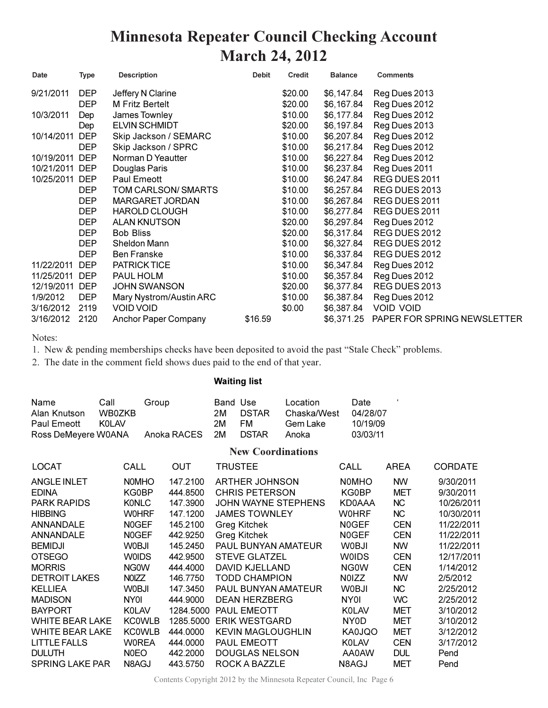# **Minnesota Repeater Council Checking Account March 24, 2012**

| Date       | <b>Type</b> | <b>Description</b>          | <b>Debit</b> | Credit  | <b>Balance</b> | <b>Comments</b>             |
|------------|-------------|-----------------------------|--------------|---------|----------------|-----------------------------|
| 9/21/2011  | <b>DEP</b>  | Jeffery N Clarine           |              | \$20.00 | \$6,147.84     | Reg Dues 2013               |
|            | <b>DEP</b>  | M Fritz Bertelt             |              | \$20.00 | \$6,167.84     | Reg Dues 2012               |
| 10/3/2011  | Dep         | James Townley               |              | \$10.00 | \$6,177.84     | Reg Dues 2012               |
|            | Dep         | <b>ELVIN SCHMIDT</b>        |              | \$20.00 | \$6,197.84     | Reg Dues 2013               |
| 10/14/2011 | <b>DEP</b>  | Skip Jackson / SEMARC       |              | \$10.00 | \$6,207.84     | Reg Dues 2012               |
|            | <b>DEP</b>  | Skip Jackson / SPRC         |              | \$10.00 | \$6,217.84     | Reg Dues 2012               |
| 10/19/2011 | <b>DEP</b>  | Norman D Yeautter           |              | \$10.00 | \$6,227.84     | Reg Dues 2012               |
| 10/21/2011 | <b>DEP</b>  | Douglas Paris               |              | \$10.00 | \$6,237.84     | Reg Dues 2011               |
| 10/25/2011 | <b>DEP</b>  | Paul Emeott                 |              | \$10.00 | \$6,247.84     | REG DUES 2011               |
|            | DEP         | TOM CARLSON/SMARTS          |              | \$10.00 | \$6,257.84     | REG DUES 2013               |
|            | <b>DEP</b>  | <b>MARGARET JORDAN</b>      |              | \$10.00 | \$6,267.84     | REG DUES 2011               |
|            | <b>DEP</b>  | <b>HAROLD CLOUGH</b>        |              | \$10.00 | \$6,277.84     | REG DUES 2011               |
|            | <b>DEP</b>  | <b>ALAN KNUTSON</b>         |              | \$20.00 | \$6,297.84     | Reg Dues 2012               |
|            | DEP         | <b>Bob Bliss</b>            |              | \$20.00 | \$6,317.84     | REG DUES 2012               |
|            | <b>DEP</b>  | Sheldon Mann                |              | \$10.00 | \$6,327.84     | REG DUES 2012               |
|            | <b>DEP</b>  | <b>Ben Franske</b>          |              | \$10.00 | \$6,337.84     | REG DUES 2012               |
| 11/22/2011 | <b>DEP</b>  | PATRICK TICE                |              | \$10.00 | \$6,347.84     | Reg Dues 2012               |
| 11/25/2011 | <b>DEP</b>  | PAUL HOLM                   |              | \$10.00 | \$6,357.84     | Reg Dues 2012               |
| 12/19/2011 | <b>DEP</b>  | <b>JOHN SWANSON</b>         |              | \$20.00 | \$6,377.84     | REG DUES 2013               |
| 1/9/2012   | <b>DEP</b>  | Mary Nystrom/Austin ARC     |              | \$10.00 | \$6,387.84     | Reg Dues 2012               |
| 3/16/2012  | 2119        | <b>VOID VOID</b>            |              | \$0.00  | \$6,387.84     | <b>VOID VOID</b>            |
| 3/16/2012  | 2120        | <b>Anchor Paper Company</b> | \$16.59      |         | \$6,371.25     | PAPER FOR SPRING NEWSLETTER |

#### Notes:

1. New & pending memberships checks have been deposited to avoid the past "Stale Check" problems.

2. The date in the comment field shows dues paid to the end of that year.

### **Waiting list**

| Name                | Call   | Group          | Band Use |              | Location    | Date     |  |
|---------------------|--------|----------------|----------|--------------|-------------|----------|--|
| Alan Knutson        | WB0ZKB |                | 2M       | DSTAR        | Chaska/West | 04/28/07 |  |
| Paul Emeott         | KOL AV |                | 2M       | FM.          | Gem Lake    | 10/19/09 |  |
| Ross DeMeyere W0ANA |        | Anoka RACES 2M |          | <b>DSTAR</b> | Anoka       | 03/03/11 |  |

### **New Coordinations**

| <b>LOCAT</b>           | CALL          | OUT       | <b>TRUSTEE</b>           | CALL              | <b>AREA</b> | <b>CORDATE</b> |
|------------------------|---------------|-----------|--------------------------|-------------------|-------------|----------------|
| <b>ANGLE INLET</b>     | <b>NOMHO</b>  | 147.2100  | <b>ARTHER JOHNSON</b>    | <b>NOMHO</b>      | <b>NW</b>   | 9/30/2011      |
| <b>EDINA</b>           | KG0BP         | 444.8500  | <b>CHRIS PETERSON</b>    | KG0BP             | MET         | 9/30/2011      |
| <b>PARK RAPIDS</b>     | KONLC         | 147.3900  | JOHN WAYNE STEPHENS      | KD0AAA            | NC.         | 10/26/2011     |
| <b>HIBBING</b>         | WOHRF         | 147.1200  | <b>JAMES TOWNLEY</b>     | <b>WOHRF</b>      | NC          | 10/30/2011     |
| ANNANDALE              | N0GEF         | 145.2100  | Greg Kitchek             | N0GEF             | <b>CEN</b>  | 11/22/2011     |
| <b>ANNANDALE</b>       | N0GEF         | 442.9250  | <b>Greg Kitchek</b>      | <b>N0GEF</b>      | <b>CEN</b>  | 11/22/2011     |
| <b>BEMIDJI</b>         | WOBJI         | 145.2450  | PAUL BUNYAN AMATEUR      | <b>WOBJI</b>      | <b>NW</b>   | 11/22/2011     |
| <b>OTSEGO</b>          | W0IDS.        | 442.9500  | <b>STEVE GLATZEL</b>     | W0IDS             | <b>CEN</b>  | 12/17/2011     |
| <b>MORRIS</b>          | NG0W          | 444.4000  | DAVID KJELLAND           | <b>NGOW</b>       | <b>CEN</b>  | 1/14/2012      |
| <b>DETROIT LAKES</b>   | NOIZZ         | 146.7750  | <b>TODD CHAMPION</b>     | N0IZZ             | <b>NW</b>   | 2/5/2012       |
| <b>KELLIEA</b>         | <b>WOBJI</b>  | 147.3450  | PAUL BUNYAN AMATEUR      | <b>WOBJI</b>      | NC          | 2/25/2012      |
| <b>MADISON</b>         | NY0I          | 444.9000  | <b>DEAN HERZBERG</b>     | NY0I              | WC.         | 2/25/2012      |
| <b>BAYPORT</b>         | <b>K0LAV</b>  | 1284.5000 | <b>PAUL EMEOTT</b>       | <b>K0LAV</b>      | MET         | 3/10/2012      |
| <b>WHITE BEAR LAKE</b> | <b>KC0WLB</b> | 1285.5000 | ERIK WESTGARD            | NY <sub>0</sub> D | MET         | 3/10/2012      |
| <b>WHITE BEAR LAKE</b> | <b>KC0WLB</b> | 444,0000  | <b>KEVIN MAGLOUGHLIN</b> | KA0JQO            | MET         | 3/12/2012      |
| <b>LITTLE FALLS</b>    | W0REA         | 444,0000  | PAUL EMEOTT              | <b>KOLAV</b>      | <b>CEN</b>  | 3/17/2012      |
| <b>DULUTH</b>          | N0EO          | 442,2000  | <b>DOUGLAS NELSON</b>    | AA0AW             | <b>DUL</b>  | Pend           |
| <b>SPRING LAKE PAR</b> | N8AGJ         | 443.5750  | ROCK A BAZZLE            | N8AGJ             | MET         | Pend           |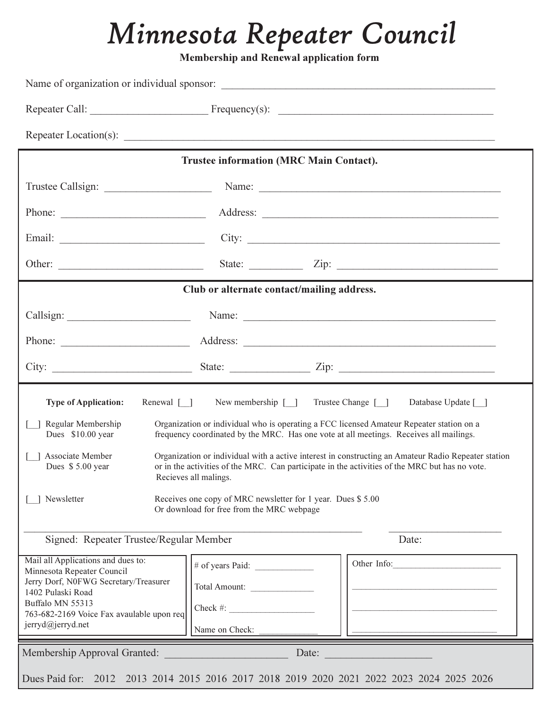# *Minnesota Repeater Council*

**Membership and Renewal application form** 

|                                                                                                                                                                                                                      | <b>Trustee information (MRC Main Contact).</b>                                                                                    |                                                                                                                                                                                                       |  |  |  |
|----------------------------------------------------------------------------------------------------------------------------------------------------------------------------------------------------------------------|-----------------------------------------------------------------------------------------------------------------------------------|-------------------------------------------------------------------------------------------------------------------------------------------------------------------------------------------------------|--|--|--|
|                                                                                                                                                                                                                      |                                                                                                                                   |                                                                                                                                                                                                       |  |  |  |
|                                                                                                                                                                                                                      |                                                                                                                                   |                                                                                                                                                                                                       |  |  |  |
|                                                                                                                                                                                                                      |                                                                                                                                   | City:                                                                                                                                                                                                 |  |  |  |
|                                                                                                                                                                                                                      |                                                                                                                                   | State: $\angle$ Zip: $\angle$                                                                                                                                                                         |  |  |  |
|                                                                                                                                                                                                                      | Club or alternate contact/mailing address.                                                                                        |                                                                                                                                                                                                       |  |  |  |
|                                                                                                                                                                                                                      |                                                                                                                                   | Name: Name:                                                                                                                                                                                           |  |  |  |
|                                                                                                                                                                                                                      |                                                                                                                                   |                                                                                                                                                                                                       |  |  |  |
|                                                                                                                                                                                                                      |                                                                                                                                   |                                                                                                                                                                                                       |  |  |  |
| Renewal $\lceil \rceil$<br><b>Type of Application:</b><br>Regular Membership<br>Dues \$10.00 year                                                                                                                    | New membership [ ] Trustee Change [ ]<br>frequency coordinated by the MRC. Has one vote at all meetings. Receives all mailings.   | Database Update [ ]<br>Organization or individual who is operating a FCC licensed Amateur Repeater station on a                                                                                       |  |  |  |
| <b>Associate Member</b><br>Dues \$5.00 year<br>Newsletter                                                                                                                                                            | Recieves all malings.<br>Receives one copy of MRC newsletter for 1 year. Dues \$5.00<br>Or download for free from the MRC webpage | Organization or individual with a active interest in constructing an Amateur Radio Repeater station<br>or in the activities of the MRC. Can participate in the activities of the MRC but has no vote. |  |  |  |
| Signed: Repeater Trustee/Regular Member                                                                                                                                                                              |                                                                                                                                   | Date:                                                                                                                                                                                                 |  |  |  |
| Mail all Applications and dues to:<br>Minnesota Repeater Council<br>Jerry Dorf, N0FWG Secretary/Treasurer<br>1402 Pulaski Road<br>Buffalo MN 55313<br>763-682-2169 Voice Fax avaulable upon req<br>jerryd@jerryd.net | Total Amount:<br>$Check \#:\n$<br>Name on Check:                                                                                  | Other Info:                                                                                                                                                                                           |  |  |  |